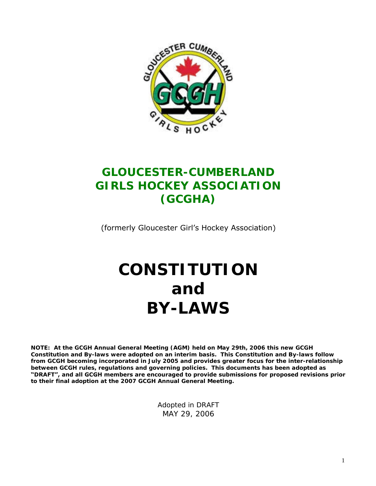

# **GLOUCESTER-CUMBERLAND GIRLS HOCKEY ASSOCIATION (GCGHA)**

(formerly Gloucester Girl's Hockey Association)

# **CONSTITUTION and BY-LAWS**

**NOTE: At the GCGH Annual General Meeting (AGM) held on May 29th, 2006 this new GCGH Constitution and By-laws were adopted on an interim basis. This Constitution and By-laws follow from GCGH becoming incorporated in July 2005 and provides greater focus for the inter-relationship between GCGH rules, regulations and governing policies. This documents has been adopted as "DRAFT",andallGCGH membersareencouragedtoprovidesubmissionsforproposedrevisionsprior to their final adoption at the 2007 GCGH Annual General Meeting.**

> Adopted in DRAFT MAY 29, 2006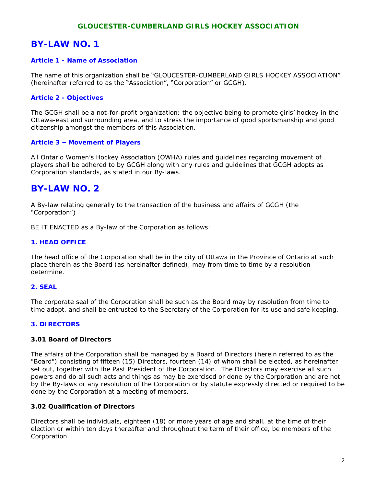#### **GLOUCESTER-CUMBERLAND GIRLS HOCKEY ASSOCIATION**

## **BY-LAW NO. 1**

#### **Article 1 - Name of Association**

The name of this organization shall be "GLOUCESTER-CUMBERLAND GIRLS HOCKEY ASSOCIATION" (hereinafter referred to as the "Association", "Corporation" or GCGH).

#### **Article 2 - Objectives**

The GCGH shall be a not-for-profit organization; the objective being to promote girls'hockey in the Ottawa-east and surrounding area, and to stress the importance of good sportsmanship and good citizenship amongst the members of this Association.

#### **Article 3 –Movement of Players**

All Ontario Women's Hockey Association (OWHA) rules and guidelines regarding movement of players shall be adhered to by GCGH along with any rules and guidelines that GCGH adopts as Corporation standards, as stated in our By-laws.

### **BY-LAW NO. 2**

A By-law relating generally to the transaction of the business and affairs of GCGH (the "Corporation")

BE IT ENACTED as a By-law of the Corporation as follows:

#### **1. HEAD OFFICE**

The head office of the Corporation shall be in the city of Ottawa in the Province of Ontario at such place therein as the Board (as hereinafter defined), may from time to time by a resolution determine.

#### **2. SEAL**

The corporate seal of the Corporation shall be such as the Board may by resolution from time to time adopt, and shall be entrusted to the Secretary of the Corporation for its use and safe keeping.

#### **3. DIRECTORS**

#### **3.01 Board of Directors**

The affairs of the Corporation shall be managed by a Board of Directors (herein referred to as the "Board") consisting of fifteen (15) Directors, fourteen (14) of whom shall be elected, as hereinafter set out, together with the Past President of the Corporation. The Directors may exercise all such powers and do all such acts and things as may be exercised or done by the Corporation and are not by the By-laws or any resolution of the Corporation or by statute expressly directed or required to be done by the Corporation at a meeting of members.

#### **3.02 Qualification of Directors**

Directors shall be individuals, eighteen (18) or more years of age and shall, at the time of their election or within ten days thereafter and throughout the term of their office, be members of the Corporation.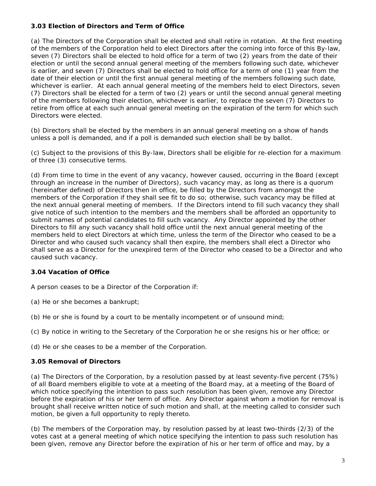#### **3.03 Election of Directors and Term of Office**

(a) The Directors of the Corporation shall be elected and shall retire in rotation. At the first meeting of the members of the Corporation held to elect Directors after the coming into force of this By-law, seven (7) Directors shall be elected to hold office for a term of two (2) years from the date of their election or until the second annual general meeting of the members following such date, whichever is earlier, and seven (7) Directors shall be elected to hold office for a term of one (1) year from the date of their election or until the first annual general meeting of the members following such date, whichever is earlier. At each annual general meeting of the members held to elect Directors, seven (7) Directors shall be elected for a term of two (2) years or until the second annual general meeting of the members following their election, whichever is earlier, to replace the seven (7) Directors to retire from office at each such annual general meeting on the expiration of the term for which such Directors were elected.

(b) Directors shall be elected by the members in an annual general meeting on a show of hands unless a poll is demanded, and if a poll is demanded such election shall be by ballot.

(c) Subject to the provisions of this By-law, Directors shall be eligible for re-election for a maximum of three (3) consecutive terms.

(d) From time to time in the event of any vacancy, however caused, occurring in the Board (except through an increase in the number of Directors), such vacancy may, as long as there is a quorum (hereinafter defined) of Directors then in office, be filled by the Directors from amongst the members of the Corporation if they shall see fit to do so; otherwise, such vacancy may be filled at the next annual general meeting of members. If the Directors intend to fill such vacancy they shall give notice of such intention to the members and the members shall be afforded an opportunity to submit names of potential candidates to fill such vacancy. Any Director appointed by the other Directors to fill any such vacancy shall hold office until the next annual general meeting of the members held to elect Directors at which time, unless the term of the Director who ceased to be a Director and who caused such vacancy shall then expire, the members shall elect a Director who shall serve as a Director for the unexpired term of the Director who ceased to be a Director and who caused such vacancy.

#### **3.04 Vacation of Office**

A person ceases to be a Director of the Corporation if:

(a) He or she becomes a bankrupt;

- (b) He or she is found by a court to be mentally incompetent or of unsound mind;
- (c) By notice in writing to the Secretary of the Corporation he or she resigns his or her office; or

(d) He or she ceases to be a member of the Corporation.

#### **3.05 Removal of Directors**

(a) The Directors of the Corporation, by a resolution passed by at least seventy-five percent (75%) of all Board members eligible to vote at a meeting of the Board may, at a meeting of the Board of which notice specifying the intention to pass such resolution has been given, remove any Director before the expiration of his or her term of office. Any Director against whom a motion for removal is brought shall receive written notice of such motion and shall, at the meeting called to consider such motion, be given a full opportunity to reply thereto.

(b) The members of the Corporation may, by resolution passed by at least two-thirds (2/3) of the votes cast at a general meeting of which notice specifying the intention to pass such resolution has been given, remove any Director before the expiration of his or her term of office and may, by a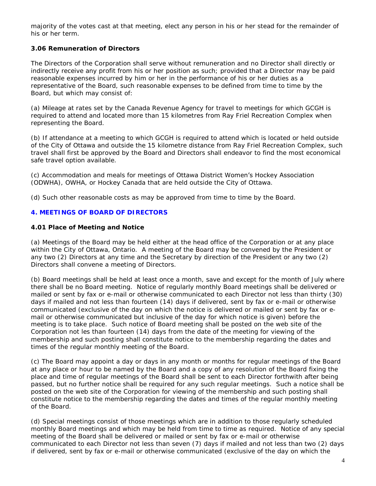majority of the votes cast at that meeting, elect any person in his or her stead for the remainder of his or her term.

**3.06 Remuneration of Directors**

The Directors of the Corporation shall serve without remuneration and no Director shall directly or indirectly receive any profit from his or her position as such; provided that a Director may be paid reasonable expenses incurred by him or her in the performance of his or her duties as a representative of the Board, such reasonable expenses to be defined from time to time by the Board, but which may consist of:

(a) Mileage at rates set by the Canada Revenue Agency for travel to meetings for which GCGH is required to attend and located more than 15 kilometres from Ray Friel Recreation Complex when representing the Board.

(b) If attendance at a meeting to which GCGH is required to attend which is located or held outside of the City of Ottawa and outside the 15 kilometre distance from Ray Friel Recreation Complex, such travel shall first be approved by the Board and Directors shall endeavor to find the most economical safe travel option available.

(c) Accommodation and meals for meetings of Ottawa District Women's Hockey Association (ODWHA), OWHA, or Hockey Canada that are held outside the City of Ottawa.

(d) Such other reasonable costs as may be approved from time to time by the Board.

#### **4. MEETINGS OF BOARD OF DIRECTORS**

**4.01 Place of Meeting and Notice**

(a) Meetings of the Board may be held either at the head office of the Corporation or at any place within the City of Ottawa, Ontario. A meeting of the Board may be convened by the President or any two (2) Directors at any time and the Secretary by direction of the President or any two (2) Directors shall convene a meeting of Directors.

(b) Board meetings shall be held at least once a month, save and except for the month of July where there shall be no Board meeting. Notice of regularly monthly Board meetings shall be delivered or mailed or sent by fax or e-mail or otherwise communicated to each Director not less than thirty (30) days if mailed and not less than fourteen (14) days if delivered, sent by fax or e-mail or otherwise communicated (exclusive of the day on which the notice is delivered or mailed or sent by fax or email or otherwise communicated but inclusive of the day for which notice is given) before the meeting is to take place. Such notice of Board meeting shall be posted on the web site of the Corporation not les than fourteen (14) days from the date of the meeting for viewing of the membership and such posting shall constitute notice to the membership regarding the dates and times of the regular monthly meeting of the Board.

(c) The Board may appoint a day or days in any month or months for regular meetings of the Board at any place or hour to be named by the Board and a copy of any resolution of the Board fixing the place and time of regular meetings of the Board shall be sent to each Director forthwith after being passed, but no further notice shall be required for any such regular meetings. Such a notice shall be posted on the web site of the Corporation for viewing of the membership and such posting shall constitute notice to the membership regarding the dates and times of the regular monthly meeting of the Board.

(d) Special meetings consist of those meetings which are in addition to those regularly scheduled monthly Board meetings and which may be held from time to time as required. Notice of any special meeting of the Board shall be delivered or mailed or sent by fax or e-mail or otherwise communicated to each Director not less than seven (7) days if mailed and not less than two (2) days if delivered, sent by fax or e-mail or otherwise communicated (exclusive of the day on which the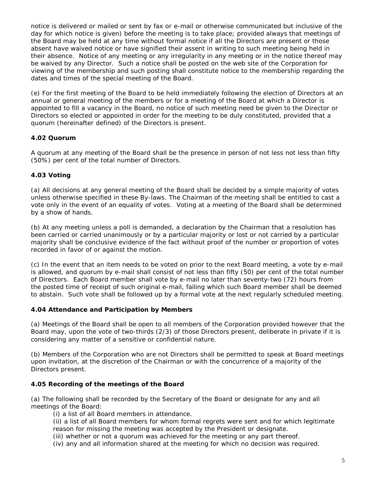notice is delivered or mailed or sent by fax or e-mail or otherwise communicated but inclusive of the day for which notice is given) before the meeting is to take place; provided always that meetings of the Board may be held at any time without formal notice if all the Directors are present or those absent have waived notice or have signified their assent in writing to such meeting being held in their absence. Notice of any meeting or any irregularity in any meeting or in the notice thereof may be waived by any Director. Such a notice shall be posted on the web site of the Corporation for viewing of the membership and such posting shall constitute notice to the membership regarding the dates and times of the special meeting of the Board.

(e) For the first meeting of the Board to be held immediately following the election of Directors at an annual or general meeting of the members or for a meeting of the Board at which a Director is appointed to fill a vacancy in the Board, no notice of such meeting need be given to the Director or Directors so elected or appointed in order for the meeting to be duly constituted, provided that a quorum (hereinafter defined) of the Directors is present.

#### **4.02 Quorum**

A quorum at any meeting of the Board shall be the presence in person of not less not less than fifty (50%) per cent of the total number of Directors.

#### **4.03 Voting**

(a) All decisions at any general meeting of the Board shall be decided by a simple majority of votes unless otherwise specified in these By-laws. The Chairman of the meeting shall be entitled to cast a vote only in the event of an equality of votes. Voting at a meeting of the Board shall be determined by a show of hands.

(b) At any meeting unless a poll is demanded, a declaration by the Chairman that a resolution has been carried or carried unanimously or by a particular majority or lost or not carried by a particular majority shall be conclusive evidence of the fact without proof of the number or proportion of votes recorded in favor of or against the motion.

(c) In the event that an item needs to be voted on prior to the next Board meeting, a vote by e-mail is allowed, and quorum by e-mail shall consist of not less than fifty (50) per cent of the total number of Directors. Each Board member shall vote by e-mail no later than seventy-two (72) hours from the posted time of receipt of such original e-mail, failing which such Board member shall be deemed to abstain. Such vote shall be followed up by a formal vote at the next regularly scheduled meeting.

#### **4.04 Attendance and Participation by Members**

(a) Meetings of the Board shall be open to all members of the Corporation provided however that the Board may, upon the vote of two-thirds (2/3) of those Directors present, deliberate in private if it is considering any matter of a sensitive or confidential nature.

(b) Members of the Corporation who are not Directors shall be permitted to speak at Board meetings upon invitation, at the discretion of the Chairman or with the concurrence of a majority of the Directors present.

#### **4.05 Recording of the meetings of the Board**

(a) The following shall be recorded by the Secretary of the Board or designate for any and all meetings of the Board:

(i) a list of all Board members in attendance.

(ii) a list of all Board members for whom formal regrets were sent and for which legitimate reason for missing the meeting was accepted by the President or designate.

(iii) whether or not a quorum was achieved for the meeting or any part thereof.

(iv) any and all information shared at the meeting for which no decision was required.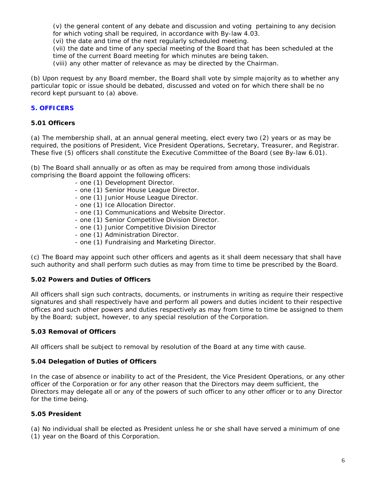(v) the general content of any debate and discussion and voting pertaining to any decision for which voting shall be required, in accordance with By-law 4.03.

(vi) the date and time of the next regularly scheduled meeting.

(vii) the date and time of any special meeting of the Board that has been scheduled at the time of the current Board meeting for which minutes are being taken.

(viii) any other matter of relevance as may be directed by the Chairman.

(b) Upon request by any Board member, the Board shall vote by simple majority as to whether any particular topic or issue should be debated, discussed and voted on for which there shall be no record kept pursuant to (a) above.

#### **5. OFFICERS**

**5.01 Officers**

(a) The membership shall, at an annual general meeting, elect every two (2) years or as may be required, the positions of President, Vice President Operations, Secretary, Treasurer, and Registrar. These five (5) officers shall constitute the Executive Committee of the Board (see By-law 6.01).

(b) The Board shall annually or as often as may be required from among those individuals comprising the Board appoint the following officers:

- one (1) Development Director.
- one (1) Senior House League Director.
- one (1) Junior House League Director.
- one (1) Ice Allocation Director.
- one (1) Communications and Website Director.
- one (1) Senior Competitive Division Director.
- one (1) Junior Competitive Division Director
- one (1) Administration Director.
- one (1) Fundraising and Marketing Director.

(c) The Board may appoint such other officers and agents as it shall deem necessary that shall have such authority and shall perform such duties as may from time to time be prescribed by the Board.

#### **5.02 Powers and Duties of Officers**

All officers shall sign such contracts, documents, or instruments in writing as require their respective signatures and shall respectively have and perform all powers and duties incident to their respective offices and such other powers and duties respectively as may from time to time be assigned to them by the Board; subject, however, to any special resolution of the Corporation.

#### **5.03 Removal of Officers**

All officers shall be subject to removal by resolution of the Board at any time with cause.

#### **5.04 Delegation of Duties of Officers**

In the case of absence or inability to act of the President, the Vice President Operations, or any other officer of the Corporation or for any other reason that the Directors may deem sufficient, the Directors may delegate all or any of the powers of such officer to any other officer or to any Director for the time being.

#### **5.05 President**

(a) No individual shall be elected as President unless he or she shall have served a minimum of one

(1) year on the Board of this Corporation.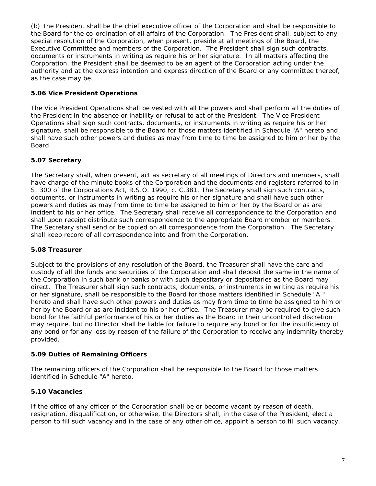(b) The President shall be the chief executive officer of the Corporation and shall be responsible to the Board for the co-ordination of all affairs of the Corporation. The President shall, subject to any special resolution of the Corporation, when present, preside at all meetings of the Board, the Executive Committee and members of the Corporation. The President shall sign such contracts, documents or instruments in writing as require his or her signature. In all matters affecting the Corporation, the President shall be deemed to be an agent of the Corporation acting under the authority and at the express intention and express direction of the Board or any committee thereof, as the case may be.

#### **5.06 Vice President Operations**

The Vice President Operations shall be vested with all the powers and shall perform all the duties of the President in the absence or inability or refusal to act of the President. The Vice President Operations shall sign such contracts, documents, or instruments in writing as require his or her signature, shall be responsible to the Board for those matters identified in Schedule "A" hereto and shall have such other powers and duties as may from time to time be assigned to him or her by the Board.

#### **5.07 Secretary**

The Secretary shall, when present, act as secretary of all meetings of Directors and members, shall have charge of the minute books of the Corporation and the documents and registers referred to in S. 300 of the Corporations Act, R.S.O. 1990, c. C.381. The Secretary shall sign such contracts, documents, or instruments in writing as require his or her signature and shall have such other powers and duties as may from time to time be assigned to him or her by the Board or as are incident to his or her office. The Secretary shall receive all correspondence to the Corporation and shall upon receipt distribute such correspondence to the appropriate Board member or members. The Secretary shall send or be copied on all correspondence from the Corporation. The Secretary shall keep record of all correspondence into and from the Corporation.

#### **5.08 Treasurer**

Subject to the provisions of any resolution of the Board, the Treasurer shall have the care and custody of all the funds and securities of the Corporation and shall deposit the same in the name of the Corporation in such bank or banks or with such depositary or depositaries as the Board may direct. The Treasurer shall sign such contracts, documents, or instruments in writing as require his or her signature, shall be responsible to the Board for those matters identified in Schedule "A " hereto and shall have such other powers and duties as may from time to time be assigned to him or her by the Board or as are incident to his or her office. The Treasurer may be required to give such bond for the faithful performance of his or her duties as the Board in their uncontrolled discretion may require, but no Director shall be liable for failure to require any bond or for the insufficiency of any bond or for any loss by reason of the failure of the Corporation to receive any indemnity thereby provided.

#### **5.09 Duties of Remaining Officers**

The remaining officers of the Corporation shall be responsible to the Board for those matters identified in Schedule "A" hereto.

#### **5.10 Vacancies**

If the office of any officer of the Corporation shall be or become vacant by reason of death, resignation, disqualification, or otherwise, the Directors shall, in the case of the President, elect a person to fill such vacancy and in the case of any other office, appoint a person to fill such vacancy.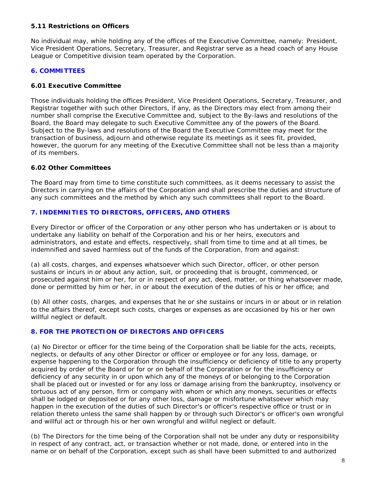#### **5.11 Restrictions on Officers**

No individual may, while holding any of the offices of the Executive Committee, namely: President, Vice President Operations, Secretary, Treasurer, and Registrar serve as a head coach of any House League or Competitive division team operated by the Corporation.

#### **6. COMMITTEES**

#### **6.01 Executive Committee**

Those individuals holding the offices President, Vice President Operations, Secretary, Treasurer, and Registrar together with such other Directors, if any, as the Directors may elect from among their number shall comprise the Executive Committee and, subject to the By-laws and resolutions of the Board, the Board may delegate to such Executive Committee any of the powers of the Board. Subject to the By-laws and resolutions of the Board the Executive Committee may meet for the transaction of business, adjourn and otherwise regulate its meetings as it sees fit, provided, however, the quorum for any meeting of the Executive Committee shall not be less than a majority of its members.

#### **6.02 Other Committees**

The Board may from time to time constitute such committees, as it deems necessary to assist the Directors in carrying on the affairs of the Corporation and shall prescribe the duties and structure of any such committees and the method by which any such committees shall report to the Board.

#### **7. INDEMNITIES TO DIRECTORS, OFFICERS, AND OTHERS**

Every Director or officer of the Corporation or any other person who has undertaken or is about to undertake any liability on behalf of the Corporation and his or her heirs, executors and administrators, and estate and effects, respectively, shall from time to time and at all times, be indemnified and saved harmless out of the funds of the Corporation, from and against:

(a) all costs, charges, and expenses whatsoever which such Director, officer, or other person sustains or incurs in or about any action, suit, or proceeding that is brought, commenced, or prosecuted against him or her, for or in respect of any act, deed, matter, or thing whatsoever made, done or permitted by him or her, in or about the execution of the duties of his or her office; and

(b) All other costs, charges, and expenses that he or she sustains or incurs in or about or in relation to the affairs thereof, except such costs, charges or expenses as are occasioned by his or her own willful neglect or default.

#### **8. FOR THE PROTECTION OF DIRECTORS AND OFFICERS**

(a) No Director or officer for the time being of the Corporation shall be liable for the acts, receipts, neglects, or defaults of any other Director or officer or employee or for any loss, damage, or expense happening to the Corporation through the insufficiency or deficiency of title to any property acquired by order of the Board or for or on behalf of the Corporation or for the insufficiency or deficiency of any security in or upon which any of the moneys of or belonging to the Corporation shall be placed out or invested or for any loss or damage arising from the bankruptcy, insolvency or tortuous act of any person, firm or company with whom or which any moneys, securities or effects shall be lodged or deposited or for any other loss, damage or misfortune whatsoever which may happen in the execution of the duties of such Director's or officer's respective office or trust or in relation thereto unless the same shall happen by or through such Director's or officer's own wrongful and willful act or through his or her own wrongful and willful neglect or default.

(b) The Directors for the time being of the Corporation shall not be under any duty or responsibility in respect of any contract, act, or transaction whether or not made, done, or entered into in the name or on behalf of the Corporation, except such as shall have been submitted to and authorized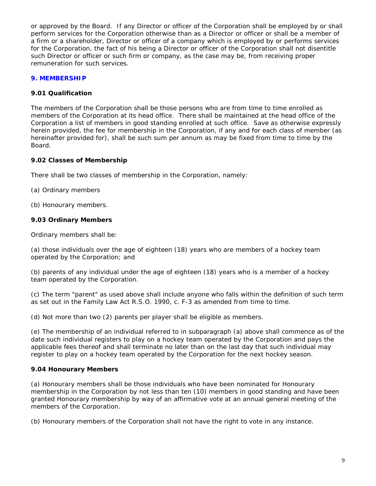or approved by the Board. If any Director or officer of the Corporation shall be employed by or shall perform services for the Corporation otherwise than as a Director or officer or shall be a member of a firm or a shareholder, Director or officer of a company which is employed by or performs services for the Corporation, the fact of his being a Director or officer of the Corporation shall not disentitle such Director or officer or such firm or company, as the case may be, from receiving proper remuneration for such services.

#### **9. MEMBERSHIP**

#### **9.01 Qualification**

The members of the Corporation shall be those persons who are from time to time enrolled as members of the Corporation at its head office. There shall be maintained at the head office of the Corporation a list of members in good standing enrolled at such office. Save as otherwise expressly herein provided, the fee for membership in the Corporation, if any and for each class of member (as hereinafter provided for), shall be such sum per annum as may be fixed from time to time by the Board.

**9.02 Classes of Membership**

There shall be two classes of membership in the Corporation, namely:

(a) Ordinary members

(b) Honourary members.

**9.03 Ordinary Members**

Ordinary members shall be:

(a) those individuals over the age of eighteen (18) years who are members of a hockey team operated by the Corporation; and

(b) parents of any individual under the age of eighteen (18) years who is a member of a hockey team operated by the Corporation.

(c) The term "parent" as used above shall include anyone who falls within the definition of such term as set out in the Family Law Act R.S.O. 1990, c. F-3 as amended from time to time.

(d) Not more than two (2) parents per player shall be eligible as members.

(e) The membership of an individual referred to in subparagraph (a) above shall commence as of the date such individual registers to play on a hockey team operated by the Corporation and pays the applicable fees thereof and shall terminate no later than on the last day that such individual may register to play on a hockey team operated by the Corporation for the next hockey season.

#### **9.04 Honourary Members**

(a) Honourary members shall be those individuals who have been nominated for Honourary membership in the Corporation by not less than ten (10) members in good standing and have been granted Honourary membership by way of an affirmative vote at an annual general meeting of the members of the Corporation.

(b) Honourary members of the Corporation shall not have the right to vote in any instance.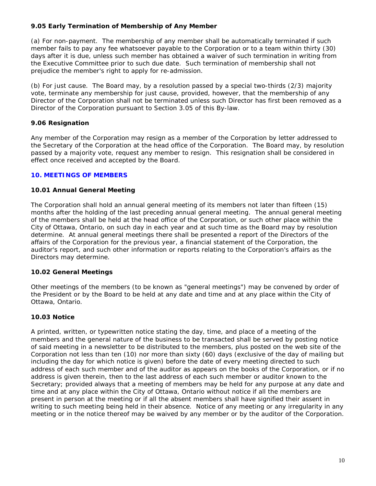#### **9.05 Early Termination of Membership of Any Member**

(a) For non-payment. The membership of any member shall be automatically terminated if such member fails to pay any fee whatsoever payable to the Corporation or to a team within thirty (30) days after it is due, unless such member has obtained a waiver of such termination in writing from the Executive Committee prior to such due date. Such termination of membership shall not prejudice the member's right to apply for re-admission.

(b) For just cause. The Board may, by a resolution passed by a special two-thirds (2/3) majority vote, terminate any membership for just cause, provided, however, that the membership of any Director of the Corporation shall not be terminated unless such Director has first been removed as a Director of the Corporation pursuant to Section 3.05 of this By-law.

#### **9.06 Resignation**

Any member of the Corporation may resign as a member of the Corporation by letter addressed to the Secretary of the Corporation at the head office of the Corporation. The Board may, by resolution passed by a majority vote, request any member to resign. This resignation shall be considered in effect once received and accepted by the Board.

#### **10. MEETINGS OF MEMBERS**

#### **10.01 Annual General Meeting**

The Corporation shall hold an annual general meeting of its members not later than fifteen (15) months after the holding of the last preceding annual general meeting. The annual general meeting of the members shall be held at the head office of the Corporation, or such other place within the City of Ottawa, Ontario, on such day in each year and at such time as the Board may by resolution determine. At annual general meetings there shall be presented a report of the Directors of the affairs of the Corporation for the previous year, a financial statement of the Corporation, the auditor's report, and such other information or reports relating to the Corporation's affairs as the Directors may determine.

#### **10.02 General Meetings**

Other meetings of the members (to be known as "general meetings") may be convened by order of the President or by the Board to be held at any date and time and at any place within the City of Ottawa, Ontario.

#### **10.03 Notice**

A printed, written, or typewritten notice stating the day, time, and place of a meeting of the members and the general nature of the business to be transacted shall be served by posting notice of said meeting in a newsletter to be distributed to the members, plus posted on the web site of the Corporation not less than ten (10) nor more than sixty (60) days (exclusive of the day of mailing but including the day for which notice is given) before the date of every meeting directed to such address of each such member and of the auditor as appears on the books of the Corporation, or if no address is given therein, then to the last address of each such member or auditor known to the Secretary; provided always that a meeting of members may be held for any purpose at any date and time and at any place within the City of Ottawa, Ontario without notice if all the members are present in person at the meeting or if all the absent members shall have signified their assent in writing to such meeting being held in their absence. Notice of any meeting or any irregularity in any meeting or in the notice thereof may be waived by any member or by the auditor of the Corporation.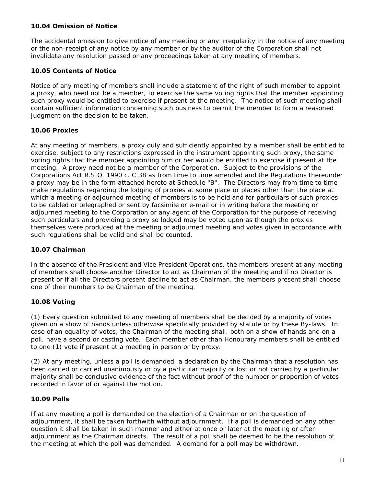#### **10.04 Omission of Notice**

The accidental omission to give notice of any meeting or any irregularity in the notice of any meeting or the non-receipt of any notice by any member or by the auditor of the Corporation shall not invalidate any resolution passed or any proceedings taken at any meeting of members.

#### **10.05 Contents of Notice**

Notice of any meeting of members shall include a statement of the right of such member to appoint a proxy, who need not be a member, to exercise the same voting rights that the member appointing such proxy would be entitled to exercise if present at the meeting. The notice of such meeting shall contain sufficient information concerning such business to permit the member to form a reasoned judgment on the decision to be taken.

#### **10.06 Proxies**

At any meeting of members, a proxy duly and sufficiently appointed by a member shall be entitled to exercise, subject to any restrictions expressed in the instrument appointing such proxy, the same voting rights that the member appointing him or her would be entitled to exercise if present at the meeting. A proxy need not be a member of the Corporation. Subject to the provisions of the Corporations Act R.S.O. 1990 c. C.38 as from time to time amended and the Regulations thereunder a proxy may be in the form attached hereto at Schedule "B". The Directors may from time to time make regulations regarding the lodging of proxies at some place or places other than the place at which a meeting or adjourned meeting of members is to be held and for particulars of such proxies to be cabled or telegraphed or sent by facsimile or e-mail or in writing before the meeting or adjourned meeting to the Corporation or any agent of the Corporation for the purpose of receiving such particulars and providing a proxy so lodged may be voted upon as though the proxies themselves were produced at the meeting or adjourned meeting and votes given in accordance with such regulations shall be valid and shall be counted.

#### **10.07 Chairman**

In the absence of the President and Vice President Operations, the members present at any meeting of members shall choose another Director to act as Chairman of the meeting and if no Director is present or if all the Directors present decline to act as Chairman, the members present shall choose one of their numbers to be Chairman of the meeting.

#### **10.08 Voting**

(1) Every question submitted to any meeting of members shall be decided by a majority of votes given on a show of hands unless otherwise specifically provided by statute or by these By-laws. In case of an equality of votes, the Chairman of the meeting shall, both on a show of hands and on a poll, have a second or casting vote. Each member other than Honourary members shall be entitled to one (1) vote if present at a meeting in person or by proxy.

(2) At any meeting, unless a poll is demanded, a declaration by the Chairman that a resolution has been carried or carried unanimously or by a particular majority or lost or not carried by a particular majority shall be conclusive evidence of the fact without proof of the number or proportion of votes recorded in favor of or against the motion.

#### **10.09 Polls**

If at any meeting a poll is demanded on the election of a Chairman or on the question of adjournment, it shall be taken forthwith without adjournment. If a poll is demanded on any other question it shall be taken in such manner and either at once or later at the meeting or after adjournment as the Chairman directs. The result of a poll shall be deemed to be the resolution of the meeting at which the poll was demanded. A demand for a poll may be withdrawn.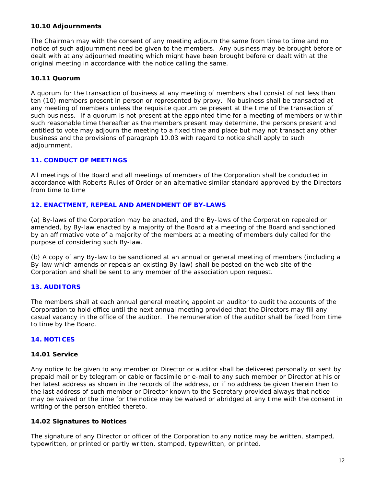The Chairman may with the consent of any meeting adjourn the same from time to time and no notice of such adjournment need be given to the members. Any business may be brought before or dealt with at any adjourned meeting which might have been brought before or dealt with at the original meeting in accordance with the notice calling the same.

#### **10.11 Quorum**

A quorum for the transaction of business at any meeting of members shall consist of not less than ten (10) members present in person or represented by proxy. No business shall be transacted at any meeting of members unless the requisite quorum be present at the time of the transaction of such business. If a quorum is not present at the appointed time for a meeting of members or within such reasonable time thereafter as the members present may determine, the persons present and entitled to vote may adjourn the meeting to a fixed time and place but may not transact any other business and the provisions of paragraph 10.03 with regard to notice shall apply to such adjournment.

#### **11. CONDUCT OF MEETINGS**

All meetings of the Board and all meetings of members of the Corporation shall be conducted in accordance with Roberts Rules of Order or an alternative similar standard approved by the Directors from time to time

#### **12. ENACTMENT, REPEAL AND AMENDMENT OF BY-LAWS**

(a) By-laws of the Corporation may be enacted, and the By-laws of the Corporation repealed or amended, by By-law enacted by a majority of the Board at a meeting of the Board and sanctioned by an affirmative vote of a majority of the members at a meeting of members duly called for the purpose of considering such By-law.

(b) A copy of any By-law to be sanctioned at an annual or general meeting of members (including a By-law which amends or repeals an existing By-law) shall be posted on the web site of the Corporation and shall be sent to any member of the association upon request.

#### **13. AUDITORS**

The members shall at each annual general meeting appoint an auditor to audit the accounts of the Corporation to hold office until the next annual meeting provided that the Directors may fill any casual vacancy in the office of the auditor. The remuneration of the auditor shall be fixed from time to time by the Board.

#### **14. NOTICES**

#### **14.01 Service**

Any notice to be given to any member or Director or auditor shall be delivered personally or sent by prepaid mail or by telegram or cable or facsimile or e-mail to any such member or Director at his or her latest address as shown in the records of the address, or if no address be given therein then to the last address of such member or Director known to the Secretary provided always that notice may be waived or the time for the notice may be waived or abridged at any time with the consent in writing of the person entitled thereto.

#### **14.02 Signatures to Notices**

The signature of any Director or officer of the Corporation to any notice may be written, stamped, typewritten, or printed or partly written, stamped, typewritten, or printed.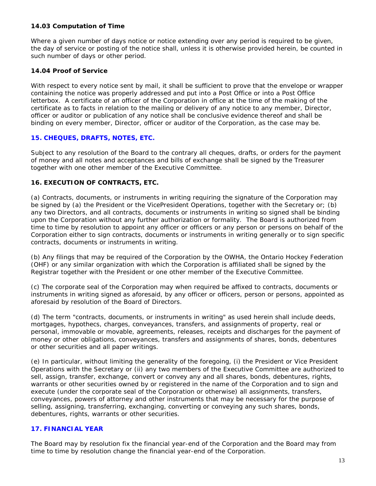#### **14.03 Computation of Time**

Where a given number of days notice or notice extending over any period is required to be given, the day of service or posting of the notice shall, unless it is otherwise provided herein, be counted in such number of days or other period.

#### **14.04 Proof of Service**

With respect to every notice sent by mail, it shall be sufficient to prove that the envelope or wrapper containing the notice was properly addressed and put into a Post Office or into a Post Office letterbox. A certificate of an officer of the Corporation in office at the time of the making of the certificate as to facts in relation to the mailing or delivery of any notice to any member, Director, officer or auditor or publication of any notice shall be conclusive evidence thereof and shall be binding on every member, Director, officer or auditor of the Corporation, as the case may be.

#### **15. CHEQUES, DRAFTS, NOTES, ETC.**

Subject to any resolution of the Board to the contrary all cheques, drafts, or orders for the payment of money and all notes and acceptances and bills of exchange shall be signed by the Treasurer together with one other member of the Executive Committee.

#### **16. EXECUTION OF CONTRACTS, ETC.**

(a) Contracts, documents, or instruments in writing requiring the signature of the Corporation may be signed by (a) the President or the VicePresident Operations, together with the Secretary or; (b) any two Directors, and all contracts, documents or instruments in writing so signed shall be binding upon the Corporation without any further authorization or formality. The Board is authorized from time to time by resolution to appoint any officer or officers or any person or persons on behalf of the Corporation either to sign contracts, documents or instruments in writing generally or to sign specific contracts, documents or instruments in writing.

(b) Any filings that may be required of the Corporation by the OWHA, the Ontario Hockey Federation (OHF) or any similar organization with which the Corporation is affiliated shall be signed by the Registrar together with the President or one other member of the Executive Committee.

(c) The corporate seal of the Corporation may when required be affixed to contracts, documents or instruments in writing signed as aforesaid, by any officer or officers, person or persons, appointed as aforesaid by resolution of the Board of Directors.

(d) The term "contracts, documents, or instruments in writing" as used herein shall include deeds, mortgages, hypothecs, charges, conveyances, transfers, and assignments of property, real or personal, immovable or movable, agreements, releases, receipts and discharges for the payment of money or other obligations, conveyances, transfers and assignments of shares, bonds, debentures or other securities and all paper writings.

(e) In particular, without limiting the generality of the foregoing, (i) the President or Vice President Operations with the Secretary or (ii) any two members of the Executive Committee are authorized to sell, assign, transfer, exchange, convert or convey any and all shares, bonds, debentures, rights, warrants or other securities owned by or registered in the name of the Corporation and to sign and execute (under the corporate seal of the Corporation or otherwise) all assignments, transfers, conveyances, powers of attorney and other instruments that may be necessary for the purpose of selling, assigning, transferring, exchanging, converting or conveying any such shares, bonds, debentures, rights, warrants or other securities.

#### **17. FINANCIAL YEAR**

The Board may by resolution fix the financial year-end of the Corporation and the Board may from time to time by resolution change the financial year-end of the Corporation.